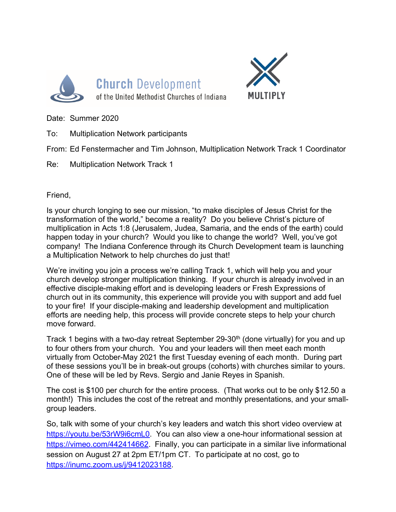



Date: Summer 2020

To: Multiplication Network participants

From: Ed Fenstermacher and Tim Johnson, Multiplication Network Track 1 Coordinator

Re: Multiplication Network Track 1

Friend,

Is your church longing to see our mission, "to make disciples of Jesus Christ for the transformation of the world," become a reality? Do you believe Christ's picture of multiplication in Acts 1:8 (Jerusalem, Judea, Samaria, and the ends of the earth) could happen today in your church? Would you like to change the world? Well, you've got company! The Indiana Conference through its Church Development team is launching a Multiplication Network to help churches do just that!

We're inviting you join a process we're calling Track 1, which will help you and your church develop stronger multiplication thinking. If your church is already involved in an effective disciple-making effort and is developing leaders or Fresh Expressions of church out in its community, this experience will provide you with support and add fuel to your fire! If your disciple-making and leadership development and multiplication efforts are needing help, this process will provide concrete steps to help your church move forward.

Track 1 begins with a two-day retreat September 29-30<sup>th</sup> (done virtually) for you and up to four others from your church. You and your leaders will then meet each month virtually from October-May 2021 the first Tuesday evening of each month. During part of these sessions you'll be in break-out groups (cohorts) with churches similar to yours. One of these will be led by Revs. Sergio and Janie Reyes in Spanish.

The cost is \$100 per church for the entire process. (That works out to be only \$12.50 a month!) This includes the cost of the retreat and monthly presentations, and your smallgroup leaders.

So, talk with some of your church's key leaders and watch this short video overview at https://youtu.be/53rW9i6cmL0. You can also view a one-hour informational session at https://vimeo.com/442414662. Finally, you can participate in a similar live informational session on August 27 at 2pm ET/1pm CT. To participate at no cost, go to https://inumc.zoom.us/j/9412023188.